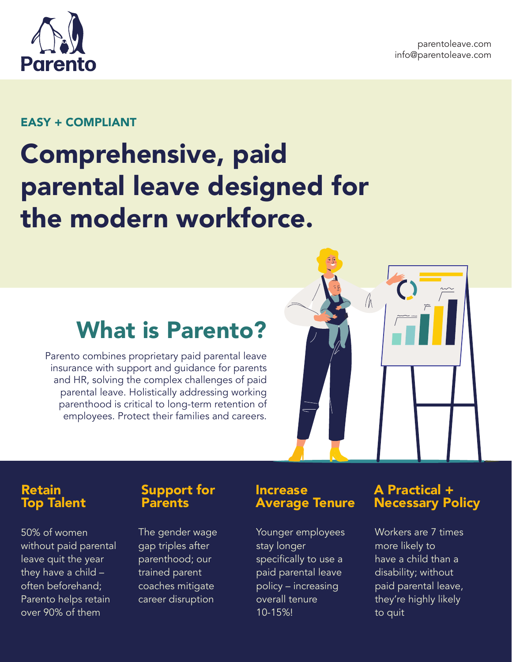

#### EASY + COMPLIANT

# Comprehensive, paid parental leave designed for the modern workforce.

## What is Parento?

Parento combines proprietary paid parental leave insurance with support and guidance for parents and HR, solving the complex challenges of paid parental leave. Holistically addressing working parenthood is critical to long-term retention of employees. Protect their families and careers.



## Retain<br>Top Talent

50% of women without paid parental leave quit the year they have a child – often beforehand; Parento helps retain over 90% of them

#### Support for **Parents**

The gender wage gap triples after parenthood; our trained parent coaches mitigate career disruption

#### Increase Average Tenure

Younger employees stay longer specifically to use a paid parental leave policy – increasing overall tenure 10-15%!

#### A Practical + Necessary Policy

Workers are 7 times more likely to have a child than a disability; without paid parental leave, they're highly likely to quit